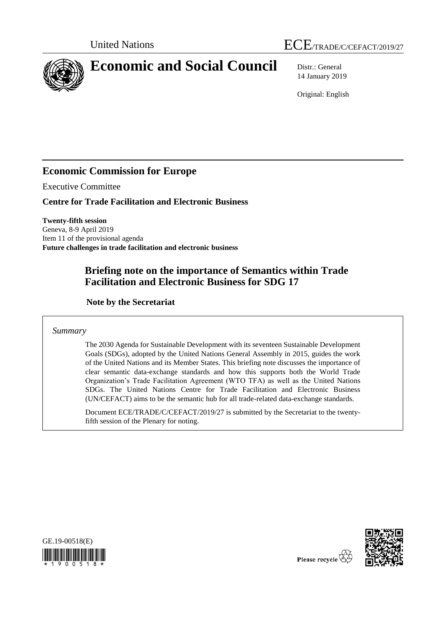



14 January 2019

Original: English

## **Economic Commission for Europe**

Executive Committee

**Centre for Trade Facilitation and Electronic Business**

**Twenty-fifth session** Geneva, 8-9 April 2019 Item 11 of the provisional agenda **Future challenges in trade facilitation and electronic business**

# **Briefing note on the importance of Semantics within Trade Facilitation and Electronic Business for SDG 17**

**Note by the Secretariat**

*Summary*

The 2030 Agenda for Sustainable Development with its seventeen Sustainable Development Goals (SDGs), adopted by the United Nations General Assembly in 2015, guides the work of the United Nations and its Member States. This briefing note discusses the importance of clear semantic data-exchange standards and how this supports both the World Trade Organization's Trade Facilitation Agreement (WTO TFA) as well as the United Nations SDGs. The United Nations Centre for Trade Facilitation and Electronic Business (UN/CEFACT) aims to be the semantic hub for all trade-related data-exchange standards.

Document ECE/TRADE/C/CEFACT/2019/27 is submitted by the Secretariat to the twentyfifth session of the Plenary for noting.





Please recycle  $\overline{\hat{C}}$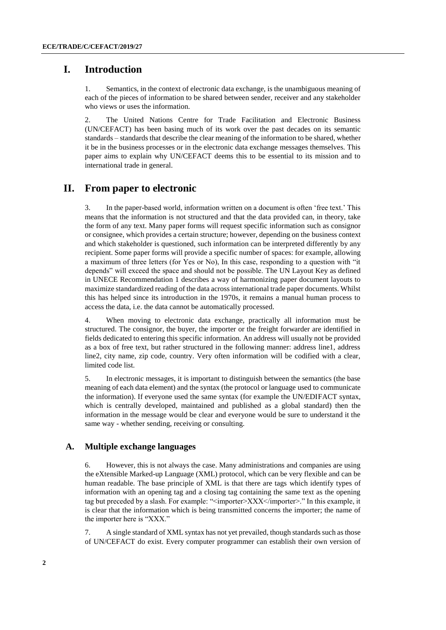## **I. Introduction**

1. Semantics, in the context of electronic data exchange, is the unambiguous meaning of each of the pieces of information to be shared between sender, receiver and any stakeholder who views or uses the information.

2. The United Nations Centre for Trade Facilitation and Electronic Business (UN/CEFACT) has been basing much of its work over the past decades on its semantic standards – standards that describe the clear meaning of the information to be shared, whether it be in the business processes or in the electronic data exchange messages themselves. This paper aims to explain why UN/CEFACT deems this to be essential to its mission and to international trade in general.

### **II. From paper to electronic**

3. In the paper-based world, information written on a document is often 'free text.' This means that the information is not structured and that the data provided can, in theory, take the form of any text. Many paper forms will request specific information such as consignor or consignee, which provides a certain structure; however, depending on the business context and which stakeholder is questioned, such information can be interpreted differently by any recipient. Some paper forms will provide a specific number of spaces: for example, allowing a maximum of three letters (for Yes or No), In this case, responding to a question with "it depends" will exceed the space and should not be possible. The UN Layout Key as defined in UNECE Recommendation 1 describes a way of harmonizing paper document layouts to maximize standardized reading of the data across international trade paper documents. Whilst this has helped since its introduction in the 1970s, it remains a manual human process to access the data, i.e. the data cannot be automatically processed.

4. When moving to electronic data exchange, practically all information must be structured. The consignor, the buyer, the importer or the freight forwarder are identified in fields dedicated to entering this specific information. An address will usually not be provided as a box of free text, but rather structured in the following manner: address line1, address line2, city name, zip code, country. Very often information will be codified with a clear, limited code list.

5. In electronic messages, it is important to distinguish between the semantics (the base meaning of each data element) and the syntax (the protocol or language used to communicate the information). If everyone used the same syntax (for example the UN/EDIFACT syntax, which is centrally developed, maintained and published as a global standard) then the information in the message would be clear and everyone would be sure to understand it the same way - whether sending, receiving or consulting.

#### **A. Multiple exchange languages**

6. However, this is not always the case. Many administrations and companies are using the eXtensible Marked-up Language (XML) protocol, which can be very flexible and can be human readable. The base principle of XML is that there are tags which identify types of information with an opening tag and a closing tag containing the same text as the opening tag but preceded by a slash. For example: "<importer>XXX</importer>." In this example, it is clear that the information which is being transmitted concerns the importer; the name of the importer here is "XXX."

7. A single standard of XML syntax has not yet prevailed, though standards such as those of UN/CEFACT do exist. Every computer programmer can establish their own version of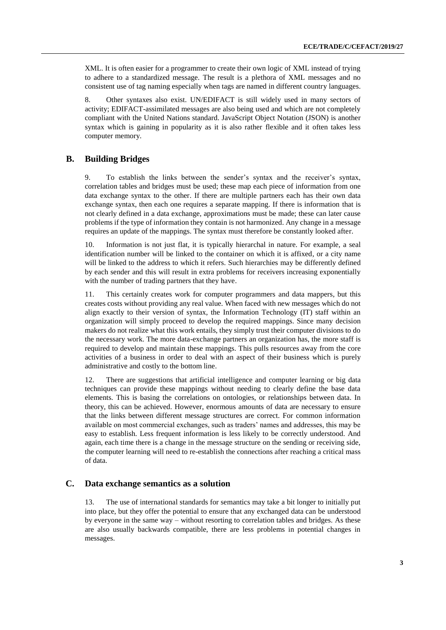XML. It is often easier for a programmer to create their own logic of XML instead of trying to adhere to a standardized message. The result is a plethora of XML messages and no consistent use of tag naming especially when tags are named in different country languages.

8. Other syntaxes also exist. UN/EDIFACT is still widely used in many sectors of activity; EDIFACT-assimilated messages are also being used and which are not completely compliant with the United Nations standard. JavaScript Object Notation (JSON) is another syntax which is gaining in popularity as it is also rather flexible and it often takes less computer memory.

### **B. Building Bridges**

9. To establish the links between the sender's syntax and the receiver's syntax, correlation tables and bridges must be used; these map each piece of information from one data exchange syntax to the other. If there are multiple partners each has their own data exchange syntax, then each one requires a separate mapping. If there is information that is not clearly defined in a data exchange, approximations must be made; these can later cause problems if the type of information they contain is not harmonized. Any change in a message requires an update of the mappings. The syntax must therefore be constantly looked after.

10. Information is not just flat, it is typically hierarchal in nature. For example, a seal identification number will be linked to the container on which it is affixed, or a city name will be linked to the address to which it refers. Such hierarchies may be differently defined by each sender and this will result in extra problems for receivers increasing exponentially with the number of trading partners that they have.

11. This certainly creates work for computer programmers and data mappers, but this creates costs without providing any real value. When faced with new messages which do not align exactly to their version of syntax, the Information Technology (IT) staff within an organization will simply proceed to develop the required mappings. Since many decision makers do not realize what this work entails, they simply trust their computer divisions to do the necessary work. The more data-exchange partners an organization has, the more staff is required to develop and maintain these mappings. This pulls resources away from the core activities of a business in order to deal with an aspect of their business which is purely administrative and costly to the bottom line.

12. There are suggestions that artificial intelligence and computer learning or big data techniques can provide these mappings without needing to clearly define the base data elements. This is basing the correlations on ontologies, or relationships between data. In theory, this can be achieved. However, enormous amounts of data are necessary to ensure that the links between different message structures are correct. For common information available on most commercial exchanges, such as traders' names and addresses, this may be easy to establish. Less frequent information is less likely to be correctly understood. And again, each time there is a change in the message structure on the sending or receiving side, the computer learning will need to re-establish the connections after reaching a critical mass of data.

### **C. Data exchange semantics as a solution**

13. The use of international standards for semantics may take a bit longer to initially put into place, but they offer the potential to ensure that any exchanged data can be understood by everyone in the same way – without resorting to correlation tables and bridges. As these are also usually backwards compatible, there are less problems in potential changes in messages.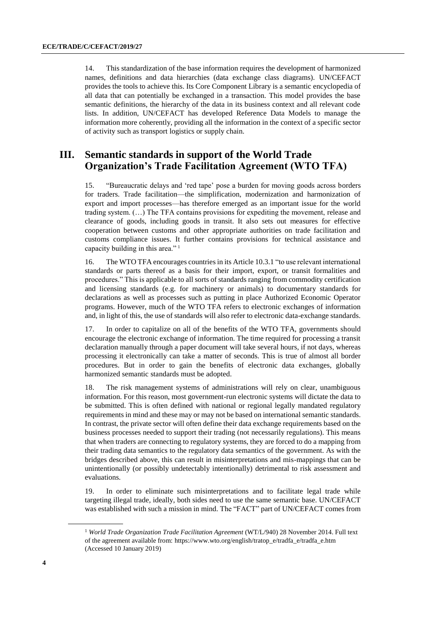14. This standardization of the base information requires the development of harmonized names, definitions and data hierarchies (data exchange class diagrams). UN/CEFACT provides the tools to achieve this. Its Core Component Library is a semantic encyclopedia of all data that can potentially be exchanged in a transaction. This model provides the base semantic definitions, the hierarchy of the data in its business context and all relevant code lists. In addition, UN/CEFACT has developed Reference Data Models to manage the information more coherently, providing all the information in the context of a specific sector of activity such as transport logistics or supply chain.

### **III. Semantic standards in support of the World Trade Organization's Trade Facilitation Agreement (WTO TFA)**

15. "Bureaucratic delays and 'red tape' pose a burden for moving goods across borders for traders. Trade facilitation—the simplification, modernization and harmonization of export and import processes—has therefore emerged as an important issue for the world trading system. (…) The TFA contains provisions for expediting the movement, release and clearance of goods, including goods in transit. It also sets out measures for effective cooperation between customs and other appropriate authorities on trade facilitation and customs compliance issues. It further contains provisions for technical assistance and capacity building in this area." <sup>1</sup>

16. The WTO TFA encourages countries in its Article 10.3.1 "to use relevant international standards or parts thereof as a basis for their import, export, or transit formalities and procedures." This is applicable to all sorts of standards ranging from commodity certification and licensing standards (e.g. for machinery or animals) to documentary standards for declarations as well as processes such as putting in place Authorized Economic Operator programs. However, much of the WTO TFA refers to electronic exchanges of information and, in light of this, the use of standards will also refer to electronic data-exchange standards.

17. In order to capitalize on all of the benefits of the WTO TFA, governments should encourage the electronic exchange of information. The time required for processing a transit declaration manually through a paper document will take several hours, if not days, whereas processing it electronically can take a matter of seconds. This is true of almost all border procedures. But in order to gain the benefits of electronic data exchanges, globally harmonized semantic standards must be adopted.

18. The risk management systems of administrations will rely on clear, unambiguous information. For this reason, most government-run electronic systems will dictate the data to be submitted. This is often defined with national or regional legally mandated regulatory requirements in mind and these may or may not be based on international semantic standards. In contrast, the private sector will often define their data exchange requirements based on the business processes needed to support their trading (not necessarily regulations). This means that when traders are connecting to regulatory systems, they are forced to do a mapping from their trading data semantics to the regulatory data semantics of the government. As with the bridges described above, this can result in misinterpretations and mis-mappings that can be unintentionally (or possibly undetectably intentionally) detrimental to risk assessment and evaluations.

19. In order to eliminate such misinterpretations and to facilitate legal trade while targeting illegal trade, ideally, both sides need to use the same semantic base. UN/CEFACT was established with such a mission in mind. The "FACT" part of UN/CEFACT comes from

<sup>1</sup> *World Trade Organization Trade Facilitation Agreement* (WT/L/940) 28 November 2014. Full text of the agreement available from: [https://www.wto.org/english/tratop\\_e/tradfa\\_e/tradfa\\_e.htm](https://www.wto.org/english/tratop_e/tradfa_e/tradfa_e.htm) (Accessed 10 January 2019)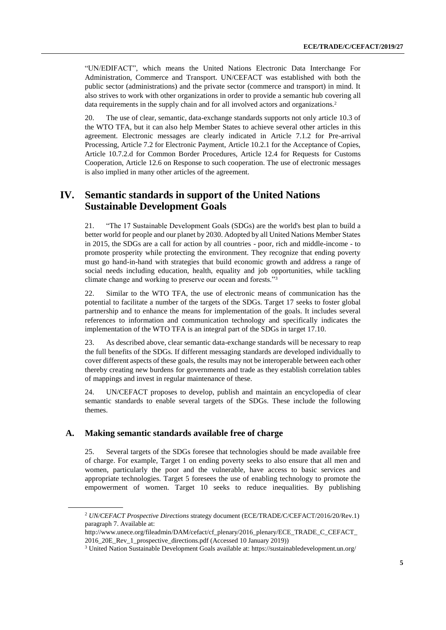"UN/EDIFACT", which means the United Nations Electronic Data Interchange For Administration, Commerce and Transport. UN/CEFACT was established with both the public sector (administrations) and the private sector (commerce and transport) in mind. It also strives to work with other organizations in order to provide a semantic hub covering all data requirements in the supply chain and for all involved actors and organizations.<sup>2</sup>

20. The use of clear, semantic, data-exchange standards supports not only article 10.3 of the WTO TFA, but it can also help Member States to achieve several other articles in this agreement. Electronic messages are clearly indicated in Article 7.1.2 for Pre-arrival Processing, Article 7.2 for Electronic Payment, Article 10.2.1 for the Acceptance of Copies, Article 10.7.2.d for Common Border Procedures, Article 12.4 for Requests for Customs Cooperation, Article 12.6 on Response to such cooperation. The use of electronic messages is also implied in many other articles of the agreement.

### **IV. Semantic standards in support of the United Nations Sustainable Development Goals**

21. "The 17 Sustainable Development Goals (SDGs) are the world's best plan to build a better world for people and our planet by 2030. Adopted by all United Nations Member States in 2015, the SDGs are a call for action by all countries - poor, rich and middle-income - to promote prosperity while protecting the environment. They recognize that ending poverty must go hand-in-hand with strategies that build economic growth and address a range of social needs including education, health, equality and job opportunities, while tackling climate change and working to preserve our ocean and forests."<sup>3</sup>

22. Similar to the WTO TFA, the use of electronic means of communication has the potential to facilitate a number of the targets of the SDGs. Target 17 seeks to foster global partnership and to enhance the means for implementation of the goals. It includes several references to information and communication technology and specifically indicates the implementation of the WTO TFA is an integral part of the SDGs in target 17.10.

23. As described above, clear semantic data-exchange standards will be necessary to reap the full benefits of the SDGs. If different messaging standards are developed individually to cover different aspects of these goals, the results may not be interoperable between each other thereby creating new burdens for governments and trade as they establish correlation tables of mappings and invest in regular maintenance of these.

24. UN/CEFACT proposes to develop, publish and maintain an encyclopedia of clear semantic standards to enable several targets of the SDGs. These include the following themes.

### **A. Making semantic standards available free of charge**

25. Several targets of the SDGs foresee that technologies should be made available free of charge. For example, Target 1 on ending poverty seeks to also ensure that all men and women, particularly the poor and the vulnerable, have access to basic services and appropriate technologies. Target 5 foresees the use of enabling technology to promote the empowerment of women. Target 10 seeks to reduce inequalities. By publishing

<sup>2</sup> *UN/CEFACT Prospective Directions* strategy document (ECE/TRADE/C/CEFACT/2016/20/Rev.1) paragraph 7. Available at:

[http://www.unece.org/fileadmin/DAM/cefact/cf\\_plenary/2016\\_plenary/ECE\\_TRADE\\_C\\_CEFACT\\_](http://www.unece.org/fileadmin/DAM/cefact/cf_plenary/2016_plenary/ECE_TRADE_C_CEFACT_2016_20E_Rev_1_prospective_directions.pdf) [2016\\_20E\\_Rev\\_1\\_prospective\\_directions.pdf](http://www.unece.org/fileadmin/DAM/cefact/cf_plenary/2016_plenary/ECE_TRADE_C_CEFACT_2016_20E_Rev_1_prospective_directions.pdf) (Accessed 10 January 2019))

<sup>3</sup> United Nation Sustainable Development Goals available at: <https://sustainabledevelopment.un.org/>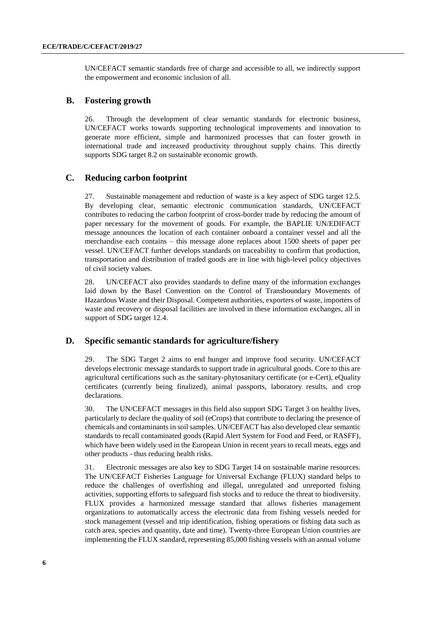UN/CEFACT semantic standards free of charge and accessible to all, we indirectly support the empowerment and economic inclusion of all.

### **B. Fostering growth**

26. Through the development of clear semantic standards for electronic business, UN/CEFACT works towards supporting technological improvements and innovation to generate more efficient, simple and harmonized processes that can foster growth in international trade and increased productivity throughout supply chains. This directly supports SDG target 8.2 on sustainable economic growth.

### **C. Reducing carbon footprint**

27. Sustainable management and reduction of waste is a key aspect of SDG target 12.5. By developing clear, semantic electronic communication standards, UN/CEFACT contributes to reducing the carbon footprint of cross-border trade by reducing the amount of paper necessary for the movement of goods. For example, the BAPLIE UN/EDIFACT message announces the location of each container onboard a container vessel and all the merchandise each contains – this message alone replaces about 1500 sheets of paper per vessel. UN/CEFACT further develops standards on traceability to confirm that production, transportation and distribution of traded goods are in line with high-level policy objectives of civil society values.

28. UN/CEFACT also provides standards to define many of the information exchanges laid down by the Basel Convention on the Control of Transboundary Movements of Hazardous Waste and their Disposal. Competent authorities, exporters of waste, importers of waste and recovery or disposal facilities are involved in these information exchanges, all in support of SDG target 12.4.

### **D. Specific semantic standards for agriculture/fishery**

29. The SDG Target 2 aims to end hunger and improve food security. UN/CEFACT develops electronic message standards to support trade in agricultural goods. Core to this are agricultural certifications such as the sanitary-phytosanitary certificate (or e-Cert), eQuality certificates (currently being finalized), animal passports, laboratory results, and crop declarations.

30. The UN/CEFACT messages in this field also support SDG Target 3 on healthy lives, particularly to declare the quality of soil (eCrops) that contribute to declaring the presence of chemicals and contaminants in soil samples. UN/CEFACT has also developed clear semantic standards to recall contaminated goods (Rapid Alert System for Food and Feed, or RASFF), which have been widely used in the European Union in recent years to recall meats, eggs and other products - thus reducing health risks.

31. Electronic messages are also key to SDG Target 14 on sustainable marine resources. The UN/CEFACT Fisheries Language for Universal Exchange (FLUX) standard helps to reduce the challenges of overfishing and illegal, unregulated and unreported fishing activities, supporting efforts to safeguard fish stocks and to reduce the threat to biodiversity. FLUX provides a harmonized message standard that allows fisheries management organizations to automatically access the electronic data from fishing vessels needed for stock management (vessel and trip identification, fishing operations or fishing data such as catch area, species and quantity, date and time). Twenty-three European Union countries are implementing the FLUX standard, representing 85,000 fishing vessels with an annual volume